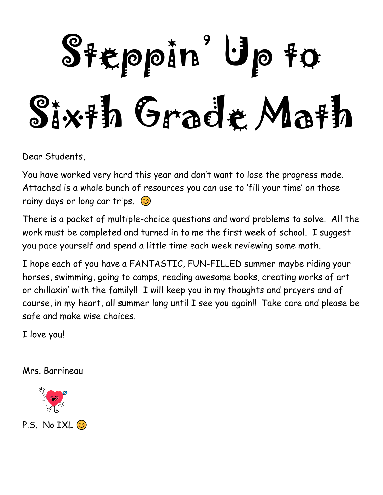# Steppin<sup>'</sup> Up to Sixth Grade Math

Dear Students,

You have worked very hard this year and don't want to lose the progress made. Attached is a whole bunch of resources you can use to 'fill your time' on those rainy days or long car trips.  $\odot$ 

There is a packet of multiple-choice questions and word problems to solve. All the work must be completed and turned in to me the first week of school. I suggest you pace yourself and spend a little time each week reviewing some math.

I hope each of you have a FANTASTIC, FUN-FILLED summer maybe riding your horses, swimming, going to camps, reading awesome books, creating works of art or chillaxin' with the family!! I will keep you in my thoughts and prayers and of course, in my heart, all summer long until I see you again!! Take care and please be safe and make wise choices.

I love you!

Mrs. Barrineau



P.S. No IXL  $\odot$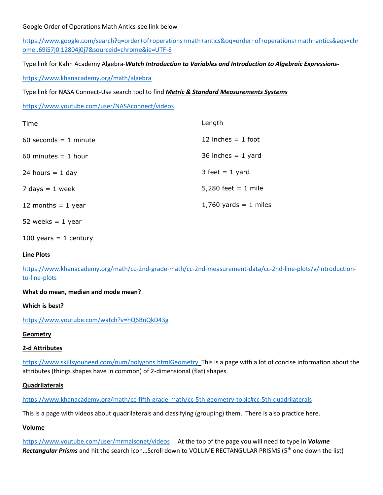#### Google Order of Operations Math Antics-see link below

[https://www.google.com/search?q=order+of+operations+math+antics&oq=order+of+operations+math+antics&aqs=chr](https://www.google.com/search?q=order+of+operations+math+antics&oq=order+of+operations+math+antics&aqs=chrome..69i57j0.12804j0j7&sourceid=chrome&ie=UTF-8) [ome..69i57j0.12804j0j7&sourceid=chrome&ie=UTF-8](https://www.google.com/search?q=order+of+operations+math+antics&oq=order+of+operations+math+antics&aqs=chrome..69i57j0.12804j0j7&sourceid=chrome&ie=UTF-8)

Type link for Kahn Academy Algebra-*Watch Introduction to Variables and Introduction to Algebraic Expressions-*

<https://www.khanacademy.org/math/algebra>

Type link for NASA Connect-Use search tool to find *Metric & Standard Measurements Systems*

<https://www.youtube.com/user/NASAconnect/videos>

| Time                    | Length                  |
|-------------------------|-------------------------|
| $60$ seconds = 1 minute | 12 inches $= 1$ foot    |
| 60 minutes $= 1$ hour   | 36 inches $= 1$ yard    |
| 24 hours $= 1$ day      | $3$ feet = 1 yard       |
| 7 days $= 1$ week       | 5,280 feet = $1$ mile   |
| 12 months $=$ 1 year    | $1,760$ yards = 1 miles |
| 52 weeks $= 1$ year     |                         |

100 years  $= 1$  century

#### **Line Plots**

[https://www.khanacademy.org/math/cc-2nd-grade-math/cc-2nd-measurement-data/cc-2nd-line-plots/v/introduction](https://www.khanacademy.org/math/cc-2nd-grade-math/cc-2nd-measurement-data/cc-2nd-line-plots/v/introduction-to-line-plots)[to-line-plots](https://www.khanacademy.org/math/cc-2nd-grade-math/cc-2nd-measurement-data/cc-2nd-line-plots/v/introduction-to-line-plots)

**What do mean, median and mode mean?**

**Which is best?**

<https://www.youtube.com/watch?v=hQ6BnQkD43g>

#### **Geometry**

#### **2-d Attributes**

<https://www.skillsyouneed.com/num/polygons.htmlGeometry>This is a page with a lot of concise information about the attributes (things shapes have in common) of 2-dimensional (flat) shapes.

#### **Quadrilaterals**

<https://www.khanacademy.org/math/cc-fifth-grade-math/cc-5th-geometry-topic#cc-5th-quadrilaterals>

This is a page with videos about quadrilaterals and classifying (grouping) them. There is also practice here.

#### **Volume**

<https://www.youtube.com/user/mrmaisonet/videos>At the top of the page you will need to type in *Volume Rectangular Prisms* and hit the search icon...Scroll down to VOLUME RECTANGULAR PRISMS (5<sup>th</sup> one down the list)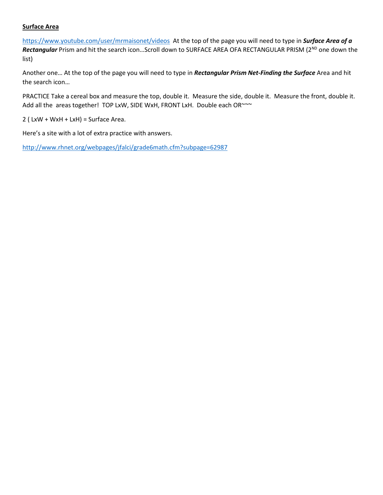#### **Surface Area**

<https://www.youtube.com/user/mrmaisonet/videos>At the top of the page you will need to type in *Surface Area of a Rectangular* Prism and hit the search icon...Scroll down to SURFACE AREA OFA RECTANGULAR PRISM (2<sup>ND</sup> one down the list)

Another one… At the top of the page you will need to type in *Rectangular Prism Net-Finding the Surface* Area and hit the search icon…

PRACTICE Take a cereal box and measure the top, double it. Measure the side, double it. Measure the front, double it. Add all the areas together! TOP LxW, SIDE WxH, FRONT LxH. Double each OR~~~

 $2$  ( LxW + WxH + LxH) = Surface Area.

Here's a site with a lot of extra practice with answers.

<http://www.rhnet.org/webpages/jfalci/grade6math.cfm?subpage=62987>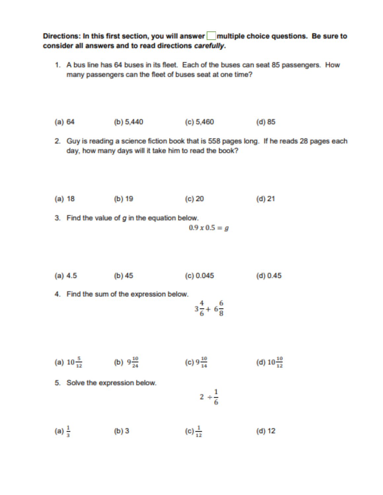Directions: In this first section, you will answer multiple choice questions. Be sure to consider all answers and to read directions carefully.

1. A bus line has 64 buses in its fleet. Each of the buses can seat 85 passengers. How many passengers can the fleet of buses seat at one time?

(a) 64 (b) 5,440  $(c) 5,460$ (d) 85

2. Guy is reading a science fiction book that is 558 pages long. If he reads 28 pages each day, how many days will it take him to read the book?

- (a) 18 (b) 19 (c) 20 (d) 21
- 3. Find the value of  $g$  in the equation below.

 $0.9 \times 0.5 = g$ 

- $(a) 4.5$ (b)  $45$ (c) 0.045  $(d) 0.45$
- 4. Find the sum of the expression below.

$$
3\frac{4}{6}+6\frac{6}{8}
$$

- (c)  $9\frac{10}{14}$ (a)  $10\frac{5}{12}$  (b)  $9\frac{10}{24}$ (d)  $10\frac{10}{12}$
- 5. Solve the expression below.

$$
2 \div \frac{1}{6}
$$

(a)  $\frac{1}{3}$ (c)  $\frac{1}{12}$ (b) 3  $(d) 12$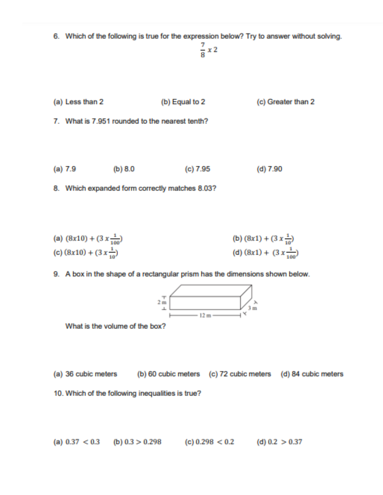6. Which of the following is true for the expression below? Try to answer without solving.

$$
\frac{7}{9}
$$
 x 2

(a) Less than 2 (b) Equal to 2 (c) Greater than 2

7. What is 7.951 rounded to the nearest tenth?

 $(a) 7.9$ (b)  $8.0$  $(c) 7.95$  $(d) 7.90$ 

8. Which expanded form correctly matches 8.03?

(a) 
$$
(8x10) + (3x\frac{1}{100})
$$
  
\n(b)  $(8x1) + (3x\frac{1}{10})$   
\n(c)  $(8x10) + (3x\frac{1}{10})$   
\n(d)  $(8x1) + (3x\frac{1}{100})$ 

9. A box in the shape of a rectangular prism has the dimensions shown below.



What is the volume of the box?

(a) 36 cubic meters (b) 60 cubic meters (c) 72 cubic meters (d) 84 cubic meters

10. Which of the following inequalities is true?

(a) 
$$
0.37 < 0.3
$$
 (b)  $0.3 > 0.298$  (c)  $0.298 < 0.2$  (d)  $0.2 > 0.37$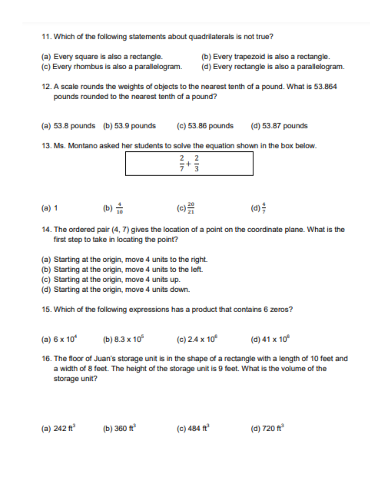- 11. Which of the following statements about quadrilaterals is not true?
- (a) Every square is also a rectangle.
- (c) Every rhombus is also a parallelogram.
- 12. A scale rounds the weights of objects to the nearest tenth of a pound. What is 53.864 pounds rounded to the nearest tenth of a pound?

(b) Every trapezoid is also a rectangle.

(d) Every rectangle is also a parallelogram.

- (a) 53.8 pounds (b) 53.9 pounds (c) 53.86 pounds (d) 53.87 pounds
- 13. Ms. Montano asked her students to solve the equation shown in the box below.

- (b)  $\frac{4}{10}$  (c)  $\frac{20}{21}$  (d)  $\frac{4}{7}$  $(a) 1$
- 14. The ordered pair (4, 7) gives the location of a point on the coordinate plane. What is the first step to take in locating the point?
- (a) Starting at the origin, move 4 units to the right.
- (b) Starting at the origin, move 4 units to the left.
- (c) Starting at the origin, move 4 units up.
- (d) Starting at the origin, move 4 units down.
- 15. Which of the following expressions has a product that contains 6 zeros?
- (a)  $6 \times 10^4$  (b)  $8.3 \times 10^5$  (c)  $2.4 \times 10^6$  (d)  $41 \times 10^8$
- 16. The floor of Juan's storage unit is in the shape of a rectangle with a length of 10 feet and a width of 8 feet. The height of the storage unit is 9 feet. What is the volume of the storage unit?

|  | (a) $242 \text{ ft}^3$ | (b) 360 ft <sup>2</sup> | (c) 484 ft <sup>3</sup> | (d) 720 ft <sup>3</sup> |
|--|------------------------|-------------------------|-------------------------|-------------------------|
|--|------------------------|-------------------------|-------------------------|-------------------------|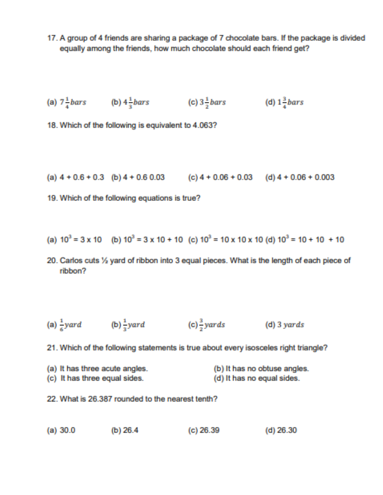17. A group of 4 friends are sharing a package of 7 chocolate bars. If the package is divided equally among the friends, how much chocolate should each friend get?

(a) 
$$
7\frac{1}{4}bars
$$
 (b)  $4\frac{1}{3}bars$  (c)  $3\frac{1}{2}bars$  (d)  $1\frac{3}{4}bars$ 

18. Which of the following is equivalent to 4.063?

(a)  $4 + 0.6 + 0.3$  (b)  $4 + 0.6 + 0.03$  (c)  $4 + 0.06 + 0.03$  (d)  $4 + 0.06 + 0.003$ 

19. Which of the following equations is true?

(a) 
$$
10^3 = 3 \times 10
$$
 (b)  $10^3 = 3 \times 10 + 10$  (c)  $10^3 = 10 \times 10 \times 10$  (d)  $10^3 = 10 + 10 + 10$ 

20. Carlos cuts 1/2 yard of ribbon into 3 equal pieces. What is the length of each piece of ribbon?

(a) 
$$
\frac{1}{6}
$$
 yard (b)  $\frac{1}{3}$  yard (c)  $\frac{3}{2}$  yards (d) 3 yards

21. Which of the following statements is true about every isosceles right triangle?

- (a) It has three acute angles. (b) It has no obtuse angles. (c) It has three equal sides. (d) It has no equal sides.
- 22. What is 26,387 rounded to the nearest tenth?
- (b)  $26.4$  $(c)$  26.39  $(d)$  26.30 (a)  $30.0$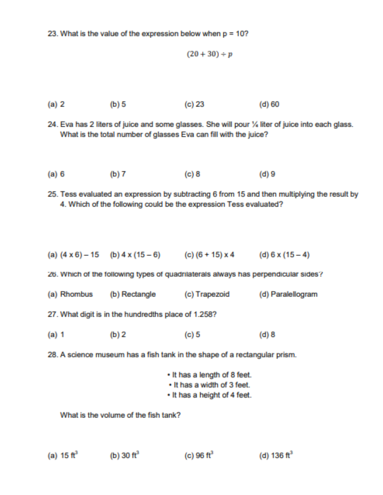23. What is the value of the expression below when p = 10?

$$
(20 + 30) \div p
$$

 $(a) 2$  $(c)$  23  $(b)$  5 (d) 60

24. Eva has 2 liters of juice and some glasses. She will pour % liter of juice into each glass. What is the total number of glasses Eva can fill with the juice?

 $(a) 6$ (b)  $7$  $(c)$  8 (d) 9

25. Tess evaluated an expression by subtracting 6 from 15 and then multiplying the result by 4. Which of the following could be the expression Tess evaluated?

|  | (a) $(4 \times 6) - 15$ (b) $4 \times (15 - 6)$ | (c) $(6 + 15) \times 4$ | (d) $6 \times (15 - 4)$ |
|--|-------------------------------------------------|-------------------------|-------------------------|
|--|-------------------------------------------------|-------------------------|-------------------------|

26. Which of the following types of quadrilaterals always has perpendicular sides?

(a) Rhombus (b) Rectangle (c) Trapezoid (d) Paralellogram

27. What digit is in the hundredths place of 1.258?

 $(c) 5$  $(a)$  1 (b)  $2$  $(d)$  8

28. A science museum has a fish tank in the shape of a rectangular prism.

- . It has a length of 8 feet.
- . It has a width of 3 feet.
- . It has a height of 4 feet.

What is the volume of the fish tank?

```
(a) 15 \text{ ft}^3(b) 30 ft<sup>3</sup>
                                                                    (c) 96 ft<sup>3</sup>
                                                                                                            (d) 136 ft<sup>3</sup>
```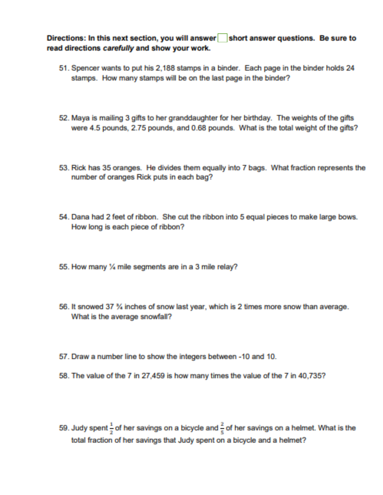Directions: In this next section, you will answer short answer questions. Be sure to read directions carefully and show your work.

- 51. Spencer wants to put his 2,188 stamps in a binder. Each page in the binder holds 24 stamps. How many stamps will be on the last page in the binder?
- 52. Maya is mailing 3 gifts to her granddaughter for her birthday. The weights of the gifts were 4.5 pounds, 2.75 pounds, and 0.68 pounds. What is the total weight of the gifts?
- 53. Rick has 35 oranges. He divides them equally into 7 bags. What fraction represents the number of oranges Rick puts in each bag?
- 54. Dana had 2 feet of ribbon. She cut the ribbon into 5 equal pieces to make large bows. How long is each piece of ribbon?
- 55. How many % mile segments are in a 3 mile relay?
- 56. It snowed 37 % inches of snow last year, which is 2 times more snow than average. What is the average snowfall?
- 57. Draw a number line to show the integers between -10 and 10.
- 58. The value of the 7 in 27,459 is how many times the value of the 7 in 40,735?
- 59. Judy spent  $\frac{1}{2}$  of her savings on a bicycle and  $\frac{2}{5}$  of her savings on a helmet. What is the total fraction of her savings that Judy spent on a bicycle and a helmet?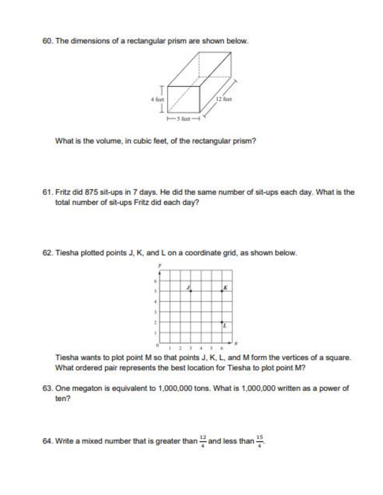60. The dimensions of a rectangular prism are shown below.



What is the volume, in cubic feet, of the rectangular prism?

- 61. Fritz did 875 sit-ups in 7 days. He did the same number of sit-ups each day. What is the total number of sit-ups Fritz did each day?
- 62. Tiesha plotted points J, K, and L on a coordinate grid, as shown below.



Tiesha wants to plot point M so that points J, K, L, and M form the vertices of a square. What ordered pair represents the best location for Tiesha to plot point M?

- 63. One megaton is equivalent to 1,000,000 tons. What is 1,000,000 written as a power of  $ten?$
- 64. Write a mixed number that is greater than  $\frac{12}{4}$  and less than  $\frac{15}{4}$ .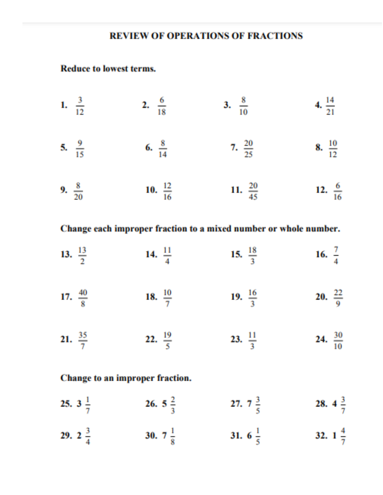# **REVIEW OF OPERATIONS OF FRACTIONS**

### **Reduce to lowest terms.**

- 2.  $\frac{6}{18}$ 1.  $\frac{3}{12}$ 3.  $\frac{8}{10}$ 4.  $\frac{14}{21}$
- 5.  $\frac{9}{15}$ 6.  $\frac{8}{14}$ 7.  $\frac{20}{25}$ 8.  $\frac{10}{12}$
- 9.  $\frac{8}{20}$ 10.  $\frac{12}{16}$ 11.  $\frac{20}{45}$ 12.  $\frac{6}{16}$

# Change each improper fraction to a mixed number or whole number.

- 16.  $\frac{7}{4}$ 13.  $\frac{13}{2}$ 14.  $\frac{11}{4}$ 15.  $\frac{18}{3}$
- 20.  $\frac{22}{9}$ 17.  $\frac{40}{8}$ 18.  $\frac{10}{7}$ 19.  $\frac{16}{3}$
- 21.  $\frac{35}{7}$ 23.  $\frac{11}{3}$ 24.  $\frac{30}{10}$ 22.  $\frac{19}{5}$

## Change to an improper fraction.

- 26. 5  $\frac{2}{3}$ 27.  $7\frac{3}{5}$ 28.  $4\frac{3}{7}$ 25.  $3\frac{1}{7}$
- 29. 2 $\frac{3}{4}$ 30. 7 $\frac{1}{8}$ 31. 6 $\frac{1}{5}$ 32.  $1\frac{4}{7}$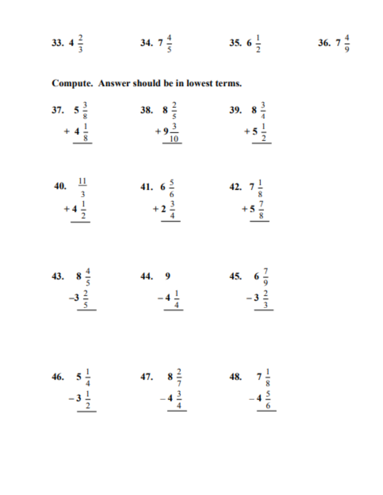33.  $4\frac{2}{3}$ 34.  $7\frac{4}{5}$ 35. 6  $\frac{1}{2}$ 36.  $7\frac{4}{9}$ 

# Compute. Answer should be in lowest terms.

37.  $5\frac{3}{8}$ <br>  $+4\frac{1}{8}$ <br>  $+9\frac{3}{10}$ 39.  $8\frac{3}{4}$  $+9\frac{3}{10}$ + 5 $\frac{1}{2}$  $+4\frac{1}{8}$ 40.  $\frac{11}{3}$ <br>+ 4  $\frac{1}{2}$ 41. 6  $\frac{5}{6}$ <br>+  $\frac{3}{4}$ <br>+  $\frac{3}{4}$ <br>+  $\frac{7}{8}$ <br>+  $\frac{7}{8}$ <br>+  $\frac{7}{8}$ + 5 $\frac{7}{8}$ 43.  $8\frac{4}{5}$ <br>  $-3\frac{2}{5}$ <br>
44. 9<br>  $-4\frac{1}{4}$ 45. 6 $\frac{7}{9}$  $-3\frac{2}{3}$ 46.  $5\frac{1}{4}$ <br>  $-3\frac{1}{2}$ <br>  $-4\frac{3}{4}$ <br>
47.  $8\frac{2}{7}$ <br>  $-4\frac{3}{4}$ <br>
48.  $7\frac{1}{8}$ <br>  $-4\frac{5}{6}$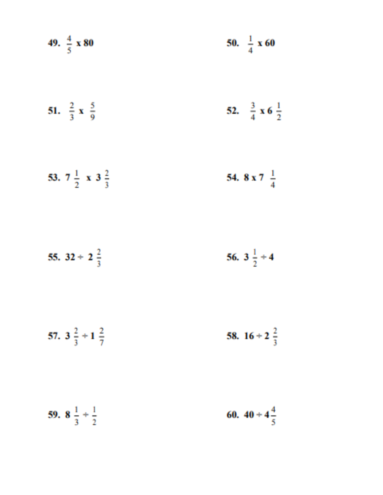| 49. $\frac{4}{5}$ x 80               | 50. $\frac{1}{4}$ x 60              |
|--------------------------------------|-------------------------------------|
| 51. $\frac{2}{3}$ x $\frac{5}{9}$    | 52. $\frac{3}{4}$ x 6 $\frac{1}{2}$ |
| 53. $7\frac{1}{2}$ x 3 $\frac{2}{3}$ | 54. 8 x 7 $\frac{1}{4}$             |
| 55. $32 \div 2\frac{2}{3}$           | 56. $3\frac{1}{2}+4$                |
| 57. $3\frac{2}{3}+1\frac{2}{7}$      | 58. $16 \div 2\frac{2}{3}$          |
| 59. $8\frac{1}{3} + \frac{1}{2}$     | 60. $40 \div 4\frac{4}{5}$          |